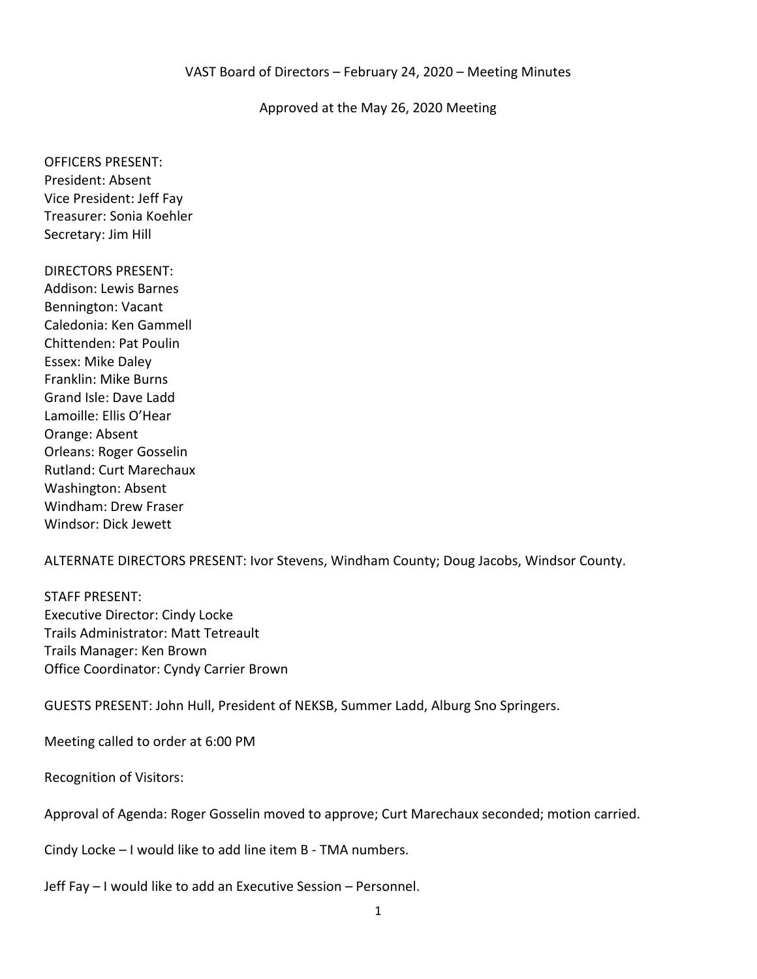#### Approved at the May 26, 2020 Meeting

OFFICERS PRESENT: President: Absent Vice President: Jeff Fay Treasurer: Sonia Koehler Secretary: Jim Hill

DIRECTORS PRESENT: Addison: Lewis Barnes Bennington: Vacant Caledonia: Ken Gammell Chittenden: Pat Poulin Essex: Mike Daley Franklin: Mike Burns Grand Isle: Dave Ladd Lamoille: Ellis O'Hear Orange: Absent Orleans: Roger Gosselin Rutland: Curt Marechaux Washington: Absent Windham: Drew Fraser Windsor: Dick Jewett

ALTERNATE DIRECTORS PRESENT: Ivor Stevens, Windham County; Doug Jacobs, Windsor County.

STAFF PRESENT: Executive Director: Cindy Locke Trails Administrator: Matt Tetreault Trails Manager: Ken Brown Office Coordinator: Cyndy Carrier Brown

GUESTS PRESENT: John Hull, President of NEKSB, Summer Ladd, Alburg Sno Springers.

Meeting called to order at 6:00 PM

Recognition of Visitors:

Approval of Agenda: Roger Gosselin moved to approve; Curt Marechaux seconded; motion carried.

Cindy Locke – I would like to add line item B - TMA numbers.

Jeff Fay – I would like to add an Executive Session – Personnel.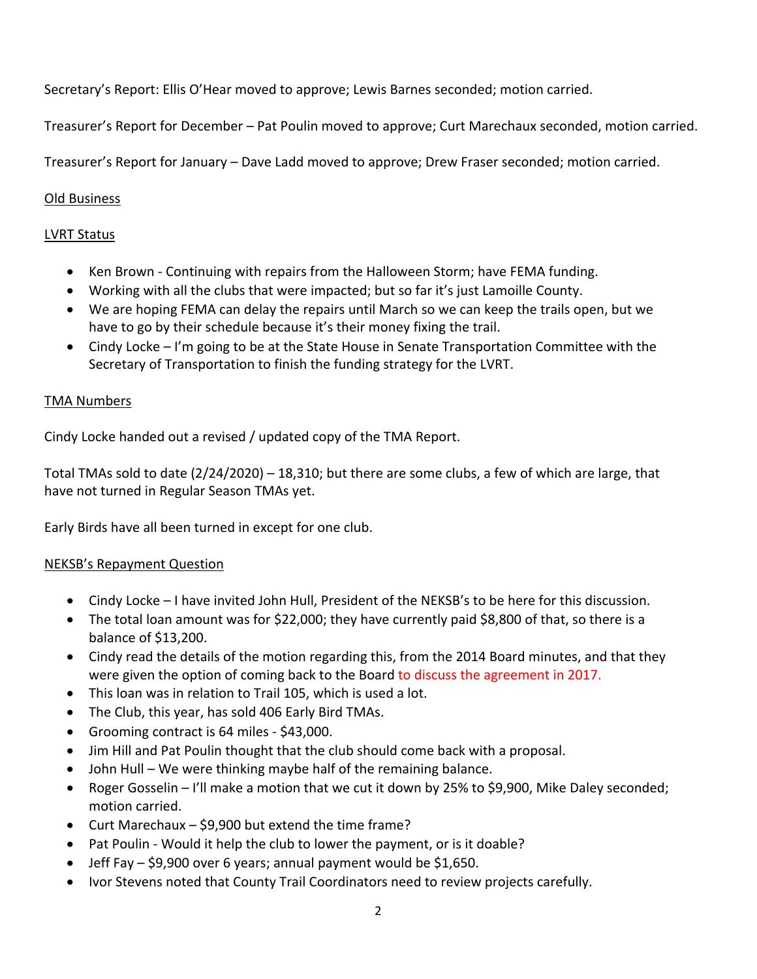Secretary's Report: Ellis O'Hear moved to approve; Lewis Barnes seconded; motion carried.

Treasurer's Report for December – Pat Poulin moved to approve; Curt Marechaux seconded, motion carried.

Treasurer's Report for January – Dave Ladd moved to approve; Drew Fraser seconded; motion carried.

## Old Business

## LVRT Status

- Ken Brown Continuing with repairs from the Halloween Storm; have FEMA funding.
- Working with all the clubs that were impacted; but so far it's just Lamoille County.
- We are hoping FEMA can delay the repairs until March so we can keep the trails open, but we have to go by their schedule because it's their money fixing the trail.
- Cindy Locke I'm going to be at the State House in Senate Transportation Committee with the Secretary of Transportation to finish the funding strategy for the LVRT.

### TMA Numbers

Cindy Locke handed out a revised / updated copy of the TMA Report.

Total TMAs sold to date (2/24/2020) – 18,310; but there are some clubs, a few of which are large, that have not turned in Regular Season TMAs yet.

Early Birds have all been turned in except for one club.

#### NEKSB's Repayment Question

- Cindy Locke I have invited John Hull, President of the NEKSB's to be here for this discussion.
- The total loan amount was for \$22,000; they have currently paid \$8,800 of that, so there is a balance of \$13,200.
- Cindy read the details of the motion regarding this, from the 2014 Board minutes, and that they were given the option of coming back to the Board to discuss the agreement in 2017.
- This loan was in relation to Trail 105, which is used a lot.
- The Club, this year, has sold 406 Early Bird TMAs.
- Grooming contract is 64 miles \$43,000.
- Jim Hill and Pat Poulin thought that the club should come back with a proposal.
- John Hull We were thinking maybe half of the remaining balance.
- Roger Gosselin I'll make a motion that we cut it down by 25% to \$9,900, Mike Daley seconded; motion carried.
- Curt Marechaux \$9,900 but extend the time frame?
- Pat Poulin Would it help the club to lower the payment, or is it doable?
- Jeff Fay \$9,900 over 6 years; annual payment would be \$1,650.
- Ivor Stevens noted that County Trail Coordinators need to review projects carefully.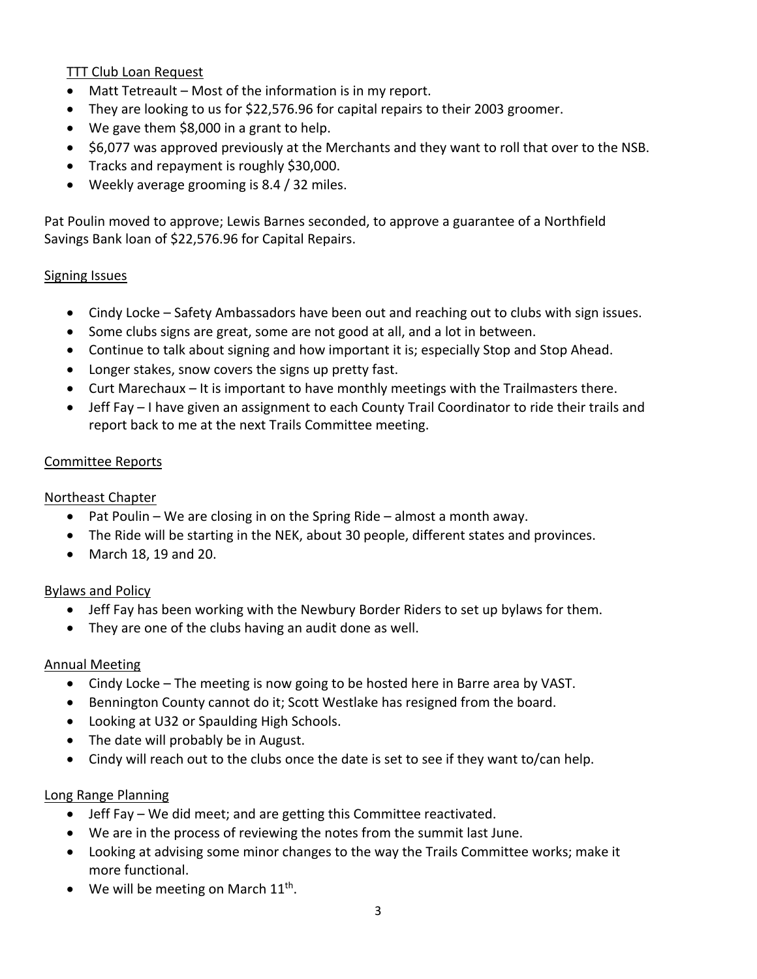TTT Club Loan Request

- Matt Tetreault Most of the information is in my report.
- They are looking to us for \$22,576.96 for capital repairs to their 2003 groomer.
- We gave them \$8,000 in a grant to help.
- \$6,077 was approved previously at the Merchants and they want to roll that over to the NSB.
- Tracks and repayment is roughly \$30,000.
- Weekly average grooming is 8.4 / 32 miles.

Pat Poulin moved to approve; Lewis Barnes seconded, to approve a guarantee of a Northfield Savings Bank loan of \$22,576.96 for Capital Repairs.

#### Signing Issues

- Cindy Locke Safety Ambassadors have been out and reaching out to clubs with sign issues.
- Some clubs signs are great, some are not good at all, and a lot in between.
- Continue to talk about signing and how important it is; especially Stop and Stop Ahead.
- Longer stakes, snow covers the signs up pretty fast.
- Curt Marechaux It is important to have monthly meetings with the Trailmasters there.
- Jeff Fay I have given an assignment to each County Trail Coordinator to ride their trails and report back to me at the next Trails Committee meeting.

#### Committee Reports

### Northeast Chapter

- Pat Poulin We are closing in on the Spring Ride almost a month away.
- The Ride will be starting in the NEK, about 30 people, different states and provinces.
- March 18, 19 and 20.

### Bylaws and Policy

- Jeff Fay has been working with the Newbury Border Riders to set up bylaws for them.
- They are one of the clubs having an audit done as well.

### Annual Meeting

- Cindy Locke The meeting is now going to be hosted here in Barre area by VAST.
- Bennington County cannot do it; Scott Westlake has resigned from the board.
- Looking at U32 or Spaulding High Schools.
- The date will probably be in August.
- Cindy will reach out to the clubs once the date is set to see if they want to/can help.

### Long Range Planning

- Jeff Fay We did meet; and are getting this Committee reactivated.
- We are in the process of reviewing the notes from the summit last June.
- Looking at advising some minor changes to the way the Trails Committee works; make it more functional.
- We will be meeting on March  $11<sup>th</sup>$ .